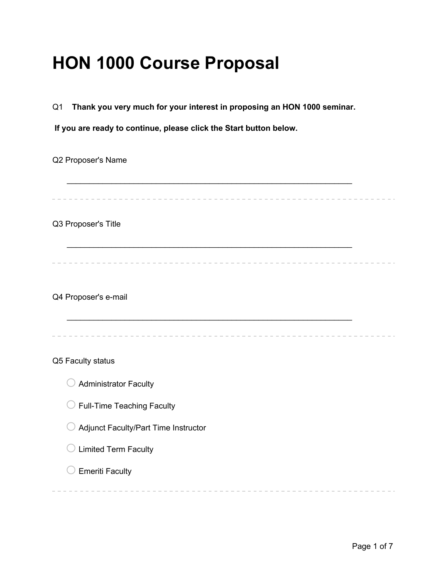# **HON 1000 Course Proposal**

Q1 **Thank you very much for your interest in proposing an HON 1000 seminar.**

**If you are ready to continue, please click the Start button below.**

Q2 Proposer's Name

 $\mathcal{L}_\text{max} = \mathcal{L}_\text{max} = \mathcal{L}_\text{max} = \mathcal{L}_\text{max} = \mathcal{L}_\text{max} = \mathcal{L}_\text{max} = \mathcal{L}_\text{max} = \mathcal{L}_\text{max} = \mathcal{L}_\text{max} = \mathcal{L}_\text{max} = \mathcal{L}_\text{max} = \mathcal{L}_\text{max} = \mathcal{L}_\text{max} = \mathcal{L}_\text{max} = \mathcal{L}_\text{max} = \mathcal{L}_\text{max} = \mathcal{L}_\text{max} = \mathcal{L}_\text{max} = \mathcal{$ 

 $\mathcal{L}_\text{max} = \mathcal{L}_\text{max} = \mathcal{L}_\text{max} = \mathcal{L}_\text{max} = \mathcal{L}_\text{max} = \mathcal{L}_\text{max} = \mathcal{L}_\text{max} = \mathcal{L}_\text{max} = \mathcal{L}_\text{max} = \mathcal{L}_\text{max} = \mathcal{L}_\text{max} = \mathcal{L}_\text{max} = \mathcal{L}_\text{max} = \mathcal{L}_\text{max} = \mathcal{L}_\text{max} = \mathcal{L}_\text{max} = \mathcal{L}_\text{max} = \mathcal{L}_\text{max} = \mathcal{$ 

Q3 Proposer's Title

Q4 Proposer's e-mail

Q5 Faculty status

- $\bigcirc$  Administrator Faculty
- $\bigcirc$  Full-Time Teaching Faculty
- $\bigcirc$  Adjunct Faculty/Part Time Instructor
- $\bigcirc$  Limited Term Faculty
- $\bigcirc$  Emeriti Faculty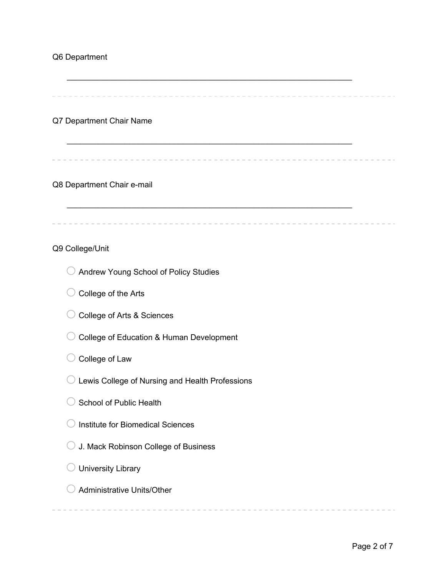### Q6 Department

 $\mathcal{L}_\text{max} = \mathcal{L}_\text{max} = \mathcal{L}_\text{max} = \mathcal{L}_\text{max} = \mathcal{L}_\text{max} = \mathcal{L}_\text{max} = \mathcal{L}_\text{max} = \mathcal{L}_\text{max} = \mathcal{L}_\text{max} = \mathcal{L}_\text{max} = \mathcal{L}_\text{max} = \mathcal{L}_\text{max} = \mathcal{L}_\text{max} = \mathcal{L}_\text{max} = \mathcal{L}_\text{max} = \mathcal{L}_\text{max} = \mathcal{L}_\text{max} = \mathcal{L}_\text{max} = \mathcal{$ 

 $\mathcal{L}_\text{max} = \mathcal{L}_\text{max} = \mathcal{L}_\text{max} = \mathcal{L}_\text{max} = \mathcal{L}_\text{max} = \mathcal{L}_\text{max} = \mathcal{L}_\text{max} = \mathcal{L}_\text{max} = \mathcal{L}_\text{max} = \mathcal{L}_\text{max} = \mathcal{L}_\text{max} = \mathcal{L}_\text{max} = \mathcal{L}_\text{max} = \mathcal{L}_\text{max} = \mathcal{L}_\text{max} = \mathcal{L}_\text{max} = \mathcal{L}_\text{max} = \mathcal{L}_\text{max} = \mathcal{$ 

. . . . . . . . . . . . . . .

#### Q7 Department Chair Name

#### Q8 Department Chair e-mail

#### Q9 College/Unit

- O Andrew Young School of Policy Studies
- $\bigcirc$  College of the Arts
- ◯ College of Arts & Sciences
- O College of Education & Human Development
- $\bigcirc$  College of Law
- $\bigcirc$  Lewis College of Nursing and Health Professions
- $\bigcirc$  School of Public Health
- $\bigcirc$  Institute for Biomedical Sciences
- $\bigcirc$  J. Mack Robinson College of Business
- $\bigcirc$  University Library
- $\bigcirc$  Administrative Units/Other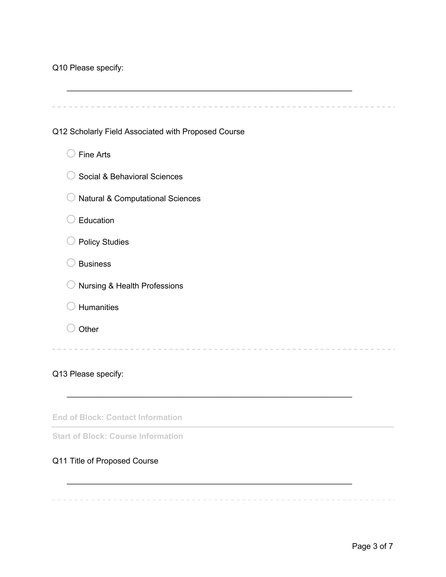|  | Q10 Please specify: |  |
|--|---------------------|--|
|  |                     |  |

| Q12 Scholarly Field Associated with Proposed Course |
|-----------------------------------------------------|
| <b>Fine Arts</b>                                    |
| Social & Behavioral Sciences                        |
| <b>Natural &amp; Computational Sciences</b>         |
| Education                                           |
| <b>Policy Studies</b>                               |
| <b>Business</b>                                     |
| Nursing & Health Professions                        |
| Humanities                                          |
| Other                                               |
|                                                     |
| Q13 Please specify:                                 |

**End of Block: Contact Information**

**Start of Block: Course Information**

## Q11 Title of Proposed Course

 $\mathcal{L}_\text{max} = \mathcal{L}_\text{max} = \mathcal{L}_\text{max} = \mathcal{L}_\text{max} = \mathcal{L}_\text{max} = \mathcal{L}_\text{max} = \mathcal{L}_\text{max} = \mathcal{L}_\text{max} = \mathcal{L}_\text{max} = \mathcal{L}_\text{max} = \mathcal{L}_\text{max} = \mathcal{L}_\text{max} = \mathcal{L}_\text{max} = \mathcal{L}_\text{max} = \mathcal{L}_\text{max} = \mathcal{L}_\text{max} = \mathcal{L}_\text{max} = \mathcal{L}_\text{max} = \mathcal{$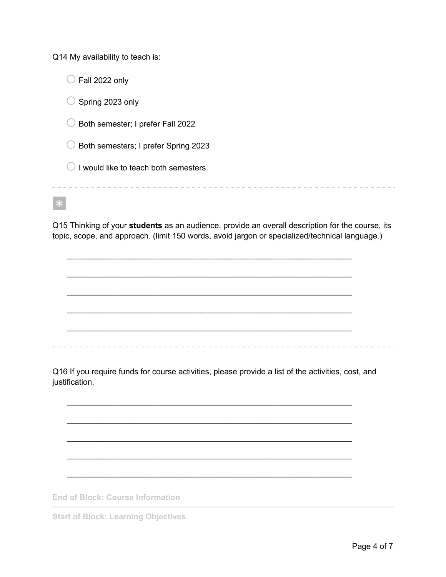Q14 My availability to teach is:

 $\bigcirc$  Fall 2022 only  $\bigcirc$  Spring 2023 only  $\bigcirc$  Both semester; I prefer Fall 2022  $\bigcirc$  Both semesters; I prefer Spring 2023  $\bigcirc$  I would like to teach both semesters. 

Q15 Thinking of your **students** as an audience, provide an overall description for the course, its topic, scope, and approach. (limit 150 words, avoid jargon or specialized/technical language.)

 $\mathcal{L}_\text{max} = \mathcal{L}_\text{max} = \mathcal{L}_\text{max} = \mathcal{L}_\text{max} = \mathcal{L}_\text{max} = \mathcal{L}_\text{max} = \mathcal{L}_\text{max} = \mathcal{L}_\text{max} = \mathcal{L}_\text{max} = \mathcal{L}_\text{max} = \mathcal{L}_\text{max} = \mathcal{L}_\text{max} = \mathcal{L}_\text{max} = \mathcal{L}_\text{max} = \mathcal{L}_\text{max} = \mathcal{L}_\text{max} = \mathcal{L}_\text{max} = \mathcal{L}_\text{max} = \mathcal{$ 

 $\mathcal{L}_\text{max} = \mathcal{L}_\text{max} = \mathcal{L}_\text{max} = \mathcal{L}_\text{max} = \mathcal{L}_\text{max} = \mathcal{L}_\text{max} = \mathcal{L}_\text{max} = \mathcal{L}_\text{max} = \mathcal{L}_\text{max} = \mathcal{L}_\text{max} = \mathcal{L}_\text{max} = \mathcal{L}_\text{max} = \mathcal{L}_\text{max} = \mathcal{L}_\text{max} = \mathcal{L}_\text{max} = \mathcal{L}_\text{max} = \mathcal{L}_\text{max} = \mathcal{L}_\text{max} = \mathcal{$ 

 $\mathcal{L}_\text{max} = \mathcal{L}_\text{max} = \mathcal{L}_\text{max} = \mathcal{L}_\text{max} = \mathcal{L}_\text{max} = \mathcal{L}_\text{max} = \mathcal{L}_\text{max} = \mathcal{L}_\text{max} = \mathcal{L}_\text{max} = \mathcal{L}_\text{max} = \mathcal{L}_\text{max} = \mathcal{L}_\text{max} = \mathcal{L}_\text{max} = \mathcal{L}_\text{max} = \mathcal{L}_\text{max} = \mathcal{L}_\text{max} = \mathcal{L}_\text{max} = \mathcal{L}_\text{max} = \mathcal{$ 

 $\mathcal{L}_\text{max} = \mathcal{L}_\text{max} = \mathcal{L}_\text{max} = \mathcal{L}_\text{max} = \mathcal{L}_\text{max} = \mathcal{L}_\text{max} = \mathcal{L}_\text{max} = \mathcal{L}_\text{max} = \mathcal{L}_\text{max} = \mathcal{L}_\text{max} = \mathcal{L}_\text{max} = \mathcal{L}_\text{max} = \mathcal{L}_\text{max} = \mathcal{L}_\text{max} = \mathcal{L}_\text{max} = \mathcal{L}_\text{max} = \mathcal{L}_\text{max} = \mathcal{L}_\text{max} = \mathcal{$ 

 $\mathcal{L}_\text{max} = \mathcal{L}_\text{max} = \mathcal{L}_\text{max} = \mathcal{L}_\text{max} = \mathcal{L}_\text{max} = \mathcal{L}_\text{max} = \mathcal{L}_\text{max} = \mathcal{L}_\text{max} = \mathcal{L}_\text{max} = \mathcal{L}_\text{max} = \mathcal{L}_\text{max} = \mathcal{L}_\text{max} = \mathcal{L}_\text{max} = \mathcal{L}_\text{max} = \mathcal{L}_\text{max} = \mathcal{L}_\text{max} = \mathcal{L}_\text{max} = \mathcal{L}_\text{max} = \mathcal{$ 

Q16 If you require funds for course activities, please provide a list of the activities, cost, and justification.

 $\mathcal{L}_\text{max} = \mathcal{L}_\text{max} = \mathcal{L}_\text{max} = \mathcal{L}_\text{max} = \mathcal{L}_\text{max} = \mathcal{L}_\text{max} = \mathcal{L}_\text{max} = \mathcal{L}_\text{max} = \mathcal{L}_\text{max} = \mathcal{L}_\text{max} = \mathcal{L}_\text{max} = \mathcal{L}_\text{max} = \mathcal{L}_\text{max} = \mathcal{L}_\text{max} = \mathcal{L}_\text{max} = \mathcal{L}_\text{max} = \mathcal{L}_\text{max} = \mathcal{L}_\text{max} = \mathcal{$ 

 $\mathcal{L}_\text{max} = \mathcal{L}_\text{max} = \mathcal{L}_\text{max} = \mathcal{L}_\text{max} = \mathcal{L}_\text{max} = \mathcal{L}_\text{max} = \mathcal{L}_\text{max} = \mathcal{L}_\text{max} = \mathcal{L}_\text{max} = \mathcal{L}_\text{max} = \mathcal{L}_\text{max} = \mathcal{L}_\text{max} = \mathcal{L}_\text{max} = \mathcal{L}_\text{max} = \mathcal{L}_\text{max} = \mathcal{L}_\text{max} = \mathcal{L}_\text{max} = \mathcal{L}_\text{max} = \mathcal{$ 

 $\mathcal{L}_\text{max} = \mathcal{L}_\text{max} = \mathcal{L}_\text{max} = \mathcal{L}_\text{max} = \mathcal{L}_\text{max} = \mathcal{L}_\text{max} = \mathcal{L}_\text{max} = \mathcal{L}_\text{max} = \mathcal{L}_\text{max} = \mathcal{L}_\text{max} = \mathcal{L}_\text{max} = \mathcal{L}_\text{max} = \mathcal{L}_\text{max} = \mathcal{L}_\text{max} = \mathcal{L}_\text{max} = \mathcal{L}_\text{max} = \mathcal{L}_\text{max} = \mathcal{L}_\text{max} = \mathcal{$ 

 $\mathcal{L}_\text{max} = \mathcal{L}_\text{max} = \mathcal{L}_\text{max} = \mathcal{L}_\text{max} = \mathcal{L}_\text{max} = \mathcal{L}_\text{max} = \mathcal{L}_\text{max} = \mathcal{L}_\text{max} = \mathcal{L}_\text{max} = \mathcal{L}_\text{max} = \mathcal{L}_\text{max} = \mathcal{L}_\text{max} = \mathcal{L}_\text{max} = \mathcal{L}_\text{max} = \mathcal{L}_\text{max} = \mathcal{L}_\text{max} = \mathcal{L}_\text{max} = \mathcal{L}_\text{max} = \mathcal{$ 

 $\mathcal{L}_\text{max} = \mathcal{L}_\text{max} = \mathcal{L}_\text{max} = \mathcal{L}_\text{max} = \mathcal{L}_\text{max} = \mathcal{L}_\text{max} = \mathcal{L}_\text{max} = \mathcal{L}_\text{max} = \mathcal{L}_\text{max} = \mathcal{L}_\text{max} = \mathcal{L}_\text{max} = \mathcal{L}_\text{max} = \mathcal{L}_\text{max} = \mathcal{L}_\text{max} = \mathcal{L}_\text{max} = \mathcal{L}_\text{max} = \mathcal{L}_\text{max} = \mathcal{L}_\text{max} = \mathcal{$ 

**End of Block: Course Information**

**Start of Block: Learning Objectives**

. . . . .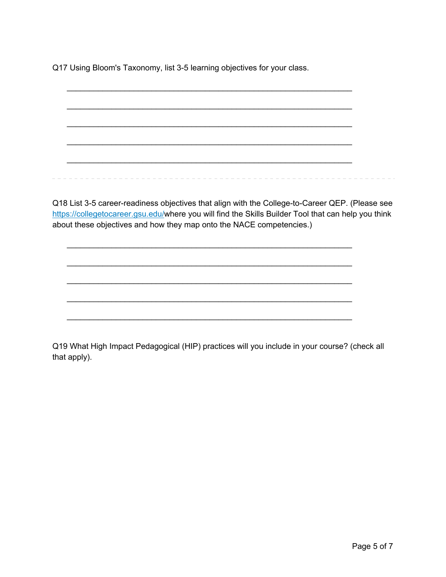Q17 Using Bloom's Taxonomy, list 3-5 learning objectives for your class.

 $\mathcal{L}_\text{max} = \mathcal{L}_\text{max} = \mathcal{L}_\text{max} = \mathcal{L}_\text{max} = \mathcal{L}_\text{max} = \mathcal{L}_\text{max} = \mathcal{L}_\text{max} = \mathcal{L}_\text{max} = \mathcal{L}_\text{max} = \mathcal{L}_\text{max} = \mathcal{L}_\text{max} = \mathcal{L}_\text{max} = \mathcal{L}_\text{max} = \mathcal{L}_\text{max} = \mathcal{L}_\text{max} = \mathcal{L}_\text{max} = \mathcal{L}_\text{max} = \mathcal{L}_\text{max} = \mathcal{$ 

 $\mathcal{L}_\text{max} = \mathcal{L}_\text{max} = \mathcal{L}_\text{max} = \mathcal{L}_\text{max} = \mathcal{L}_\text{max} = \mathcal{L}_\text{max} = \mathcal{L}_\text{max} = \mathcal{L}_\text{max} = \mathcal{L}_\text{max} = \mathcal{L}_\text{max} = \mathcal{L}_\text{max} = \mathcal{L}_\text{max} = \mathcal{L}_\text{max} = \mathcal{L}_\text{max} = \mathcal{L}_\text{max} = \mathcal{L}_\text{max} = \mathcal{L}_\text{max} = \mathcal{L}_\text{max} = \mathcal{$ 

 $\mathcal{L}_\text{max} = \mathcal{L}_\text{max} = \mathcal{L}_\text{max} = \mathcal{L}_\text{max} = \mathcal{L}_\text{max} = \mathcal{L}_\text{max} = \mathcal{L}_\text{max} = \mathcal{L}_\text{max} = \mathcal{L}_\text{max} = \mathcal{L}_\text{max} = \mathcal{L}_\text{max} = \mathcal{L}_\text{max} = \mathcal{L}_\text{max} = \mathcal{L}_\text{max} = \mathcal{L}_\text{max} = \mathcal{L}_\text{max} = \mathcal{L}_\text{max} = \mathcal{L}_\text{max} = \mathcal{$ 

 $\mathcal{L}_\text{max} = \mathcal{L}_\text{max} = \mathcal{L}_\text{max} = \mathcal{L}_\text{max} = \mathcal{L}_\text{max} = \mathcal{L}_\text{max} = \mathcal{L}_\text{max} = \mathcal{L}_\text{max} = \mathcal{L}_\text{max} = \mathcal{L}_\text{max} = \mathcal{L}_\text{max} = \mathcal{L}_\text{max} = \mathcal{L}_\text{max} = \mathcal{L}_\text{max} = \mathcal{L}_\text{max} = \mathcal{L}_\text{max} = \mathcal{L}_\text{max} = \mathcal{L}_\text{max} = \mathcal{$ 

 $\mathcal{L}_\text{max} = \mathcal{L}_\text{max} = \mathcal{L}_\text{max} = \mathcal{L}_\text{max} = \mathcal{L}_\text{max} = \mathcal{L}_\text{max} = \mathcal{L}_\text{max} = \mathcal{L}_\text{max} = \mathcal{L}_\text{max} = \mathcal{L}_\text{max} = \mathcal{L}_\text{max} = \mathcal{L}_\text{max} = \mathcal{L}_\text{max} = \mathcal{L}_\text{max} = \mathcal{L}_\text{max} = \mathcal{L}_\text{max} = \mathcal{L}_\text{max} = \mathcal{L}_\text{max} = \mathcal{$ 

 $\mathcal{L}_\text{max} = \mathcal{L}_\text{max} = \mathcal{L}_\text{max} = \mathcal{L}_\text{max} = \mathcal{L}_\text{max} = \mathcal{L}_\text{max} = \mathcal{L}_\text{max} = \mathcal{L}_\text{max} = \mathcal{L}_\text{max} = \mathcal{L}_\text{max} = \mathcal{L}_\text{max} = \mathcal{L}_\text{max} = \mathcal{L}_\text{max} = \mathcal{L}_\text{max} = \mathcal{L}_\text{max} = \mathcal{L}_\text{max} = \mathcal{L}_\text{max} = \mathcal{L}_\text{max} = \mathcal{$ 

 $\mathcal{L}_\text{max} = \mathcal{L}_\text{max} = \mathcal{L}_\text{max} = \mathcal{L}_\text{max} = \mathcal{L}_\text{max} = \mathcal{L}_\text{max} = \mathcal{L}_\text{max} = \mathcal{L}_\text{max} = \mathcal{L}_\text{max} = \mathcal{L}_\text{max} = \mathcal{L}_\text{max} = \mathcal{L}_\text{max} = \mathcal{L}_\text{max} = \mathcal{L}_\text{max} = \mathcal{L}_\text{max} = \mathcal{L}_\text{max} = \mathcal{L}_\text{max} = \mathcal{L}_\text{max} = \mathcal{$ 

 $\mathcal{L}_\text{max} = \mathcal{L}_\text{max} = \mathcal{L}_\text{max} = \mathcal{L}_\text{max} = \mathcal{L}_\text{max} = \mathcal{L}_\text{max} = \mathcal{L}_\text{max} = \mathcal{L}_\text{max} = \mathcal{L}_\text{max} = \mathcal{L}_\text{max} = \mathcal{L}_\text{max} = \mathcal{L}_\text{max} = \mathcal{L}_\text{max} = \mathcal{L}_\text{max} = \mathcal{L}_\text{max} = \mathcal{L}_\text{max} = \mathcal{L}_\text{max} = \mathcal{L}_\text{max} = \mathcal{$ 

 $\mathcal{L}_\text{max} = \mathcal{L}_\text{max} = \mathcal{L}_\text{max} = \mathcal{L}_\text{max} = \mathcal{L}_\text{max} = \mathcal{L}_\text{max} = \mathcal{L}_\text{max} = \mathcal{L}_\text{max} = \mathcal{L}_\text{max} = \mathcal{L}_\text{max} = \mathcal{L}_\text{max} = \mathcal{L}_\text{max} = \mathcal{L}_\text{max} = \mathcal{L}_\text{max} = \mathcal{L}_\text{max} = \mathcal{L}_\text{max} = \mathcal{L}_\text{max} = \mathcal{L}_\text{max} = \mathcal{$ 

Q18 List 3-5 career-readiness objectives that align with the College-to-Career QEP. (Please see https://collegetocareer.gsu.edu/where you will find the Skills Builder Tool that can help you think about these objectives and how they map onto the NACE competencies.)

Q19 What High Impact Pedagogical (HIP) practices will you include in your course? (check all that apply).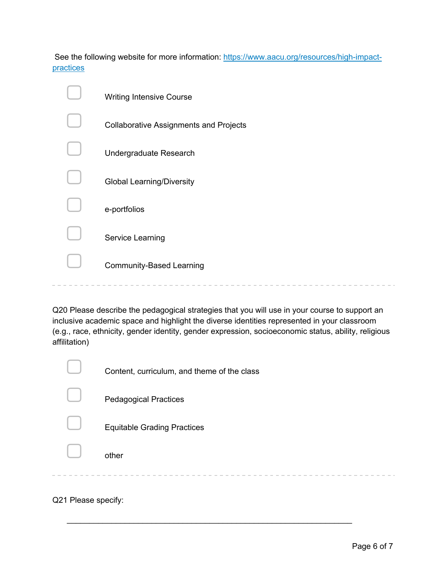See the following website for more information: https://www.aacu.org/resources/high-impactpractices

| <b>Writing Intensive Course</b>               |
|-----------------------------------------------|
| <b>Collaborative Assignments and Projects</b> |
| Undergraduate Research                        |
| <b>Global Learning/Diversity</b>              |
| e-portfolios                                  |
| Service Learning                              |
| <b>Community-Based Learning</b>               |
|                                               |

Q20 Please describe the pedagogical strategies that you will use in your course to support an inclusive academic space and highlight the diverse identities represented in your classroom (e.g., race, ethnicity, gender identity, gender expression, socioeconomic status, ability, religious affilitation)

| Content, curriculum, and theme of the class |
|---------------------------------------------|
| <b>Pedagogical Practices</b>                |
| <b>Equitable Grading Practices</b>          |
| other                                       |
|                                             |

 $\mathcal{L}_\text{max} = \mathcal{L}_\text{max} = \mathcal{L}_\text{max} = \mathcal{L}_\text{max} = \mathcal{L}_\text{max} = \mathcal{L}_\text{max} = \mathcal{L}_\text{max} = \mathcal{L}_\text{max} = \mathcal{L}_\text{max} = \mathcal{L}_\text{max} = \mathcal{L}_\text{max} = \mathcal{L}_\text{max} = \mathcal{L}_\text{max} = \mathcal{L}_\text{max} = \mathcal{L}_\text{max} = \mathcal{L}_\text{max} = \mathcal{L}_\text{max} = \mathcal{L}_\text{max} = \mathcal{$ 

Q21 Please specify: